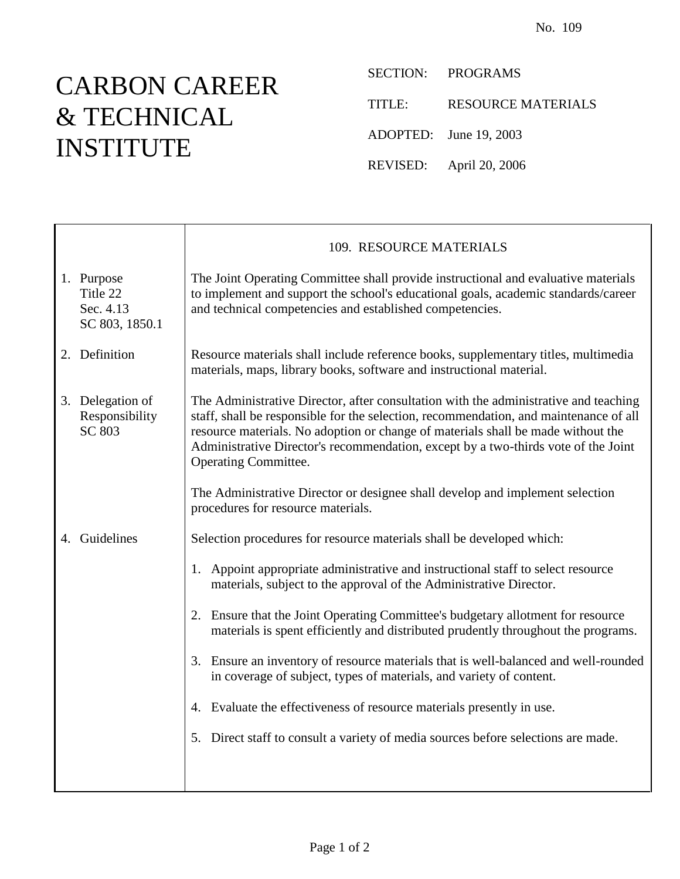## CARBON CAREER & TECHNICAL INSTITUTE

 $\mathbf{I}$ 

 $\Gamma$ 

SECTION: PROGRAMS

TITLE: RESOURCE MATERIALS

ADOPTED: June 19, 2003

REVISED: April 20, 2006

|                                                       | 109. RESOURCE MATERIALS                                                                                                                                                                                                                                                                                                                                                                                                                                                                                       |
|-------------------------------------------------------|---------------------------------------------------------------------------------------------------------------------------------------------------------------------------------------------------------------------------------------------------------------------------------------------------------------------------------------------------------------------------------------------------------------------------------------------------------------------------------------------------------------|
| 1. Purpose<br>Title 22<br>Sec. 4.13<br>SC 803, 1850.1 | The Joint Operating Committee shall provide instructional and evaluative materials<br>to implement and support the school's educational goals, academic standards/career<br>and technical competencies and established competencies.                                                                                                                                                                                                                                                                          |
| 2. Definition                                         | Resource materials shall include reference books, supplementary titles, multimedia<br>materials, maps, library books, software and instructional material.                                                                                                                                                                                                                                                                                                                                                    |
| 3. Delegation of<br>Responsibility<br>SC 803          | The Administrative Director, after consultation with the administrative and teaching<br>staff, shall be responsible for the selection, recommendation, and maintenance of all<br>resource materials. No adoption or change of materials shall be made without the<br>Administrative Director's recommendation, except by a two-thirds vote of the Joint<br><b>Operating Committee.</b><br>The Administrative Director or designee shall develop and implement selection<br>procedures for resource materials. |
| 4. Guidelines                                         | Selection procedures for resource materials shall be developed which:                                                                                                                                                                                                                                                                                                                                                                                                                                         |
|                                                       | 1. Appoint appropriate administrative and instructional staff to select resource<br>materials, subject to the approval of the Administrative Director.                                                                                                                                                                                                                                                                                                                                                        |
|                                                       | 2. Ensure that the Joint Operating Committee's budgetary allotment for resource<br>materials is spent efficiently and distributed prudently throughout the programs.                                                                                                                                                                                                                                                                                                                                          |
|                                                       | 3. Ensure an inventory of resource materials that is well-balanced and well-rounded<br>in coverage of subject, types of materials, and variety of content.                                                                                                                                                                                                                                                                                                                                                    |
|                                                       | 4. Evaluate the effectiveness of resource materials presently in use.                                                                                                                                                                                                                                                                                                                                                                                                                                         |
|                                                       | 5. Direct staff to consult a variety of media sources before selections are made.                                                                                                                                                                                                                                                                                                                                                                                                                             |
|                                                       |                                                                                                                                                                                                                                                                                                                                                                                                                                                                                                               |